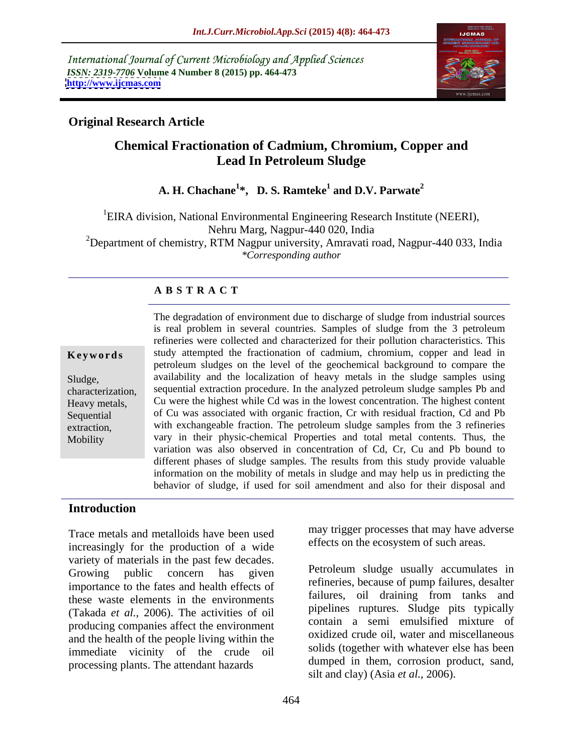International Journal of Current Microbiology and Applied Sciences *ISSN: 2319-7706* **Volume 4 Number 8 (2015) pp. 464-473 <http://www.ijcmas.com>**



# **Original Research Article**

# **Chemical Fractionation of Cadmium, Chromium, Copper and Lead In Petroleum Sludge**

### **A. H. Chachane<sup>1</sup>\*,D. S. Ramteke<sup>1</sup> and D.V. Parwate<sup>2</sup> and D.V. Parwate<sup>2</sup>**

<sup>1</sup>EIRA division, National Environmental Engineering Research Institute (NEERI), Nehru Marg, Nagpur-440 020, India <sup>2</sup>Department of chemistry, RTM Nagpur university, Amravati road, Nagpur-440 033, India *\*Corresponding author*

# **A B S T R A C T**

Mobility

The degradation of environment due to discharge of sludge from industrial sources is real problem in several countries. Samples of sludge from the 3 petroleum refineries were collected and characterized for their pollution characteristics. This **Keywords** study attempted the fractionation of cadmium, chromium, copper and lead in petroleum sludges on the level of the geochemical background to compare the availability and the localization of heavy metals in the sludge samples using Sludge, characterization, sequential extraction procedure. In the analyzed petroleum sludge samples Pb and Cu were the highest while Cd was in the lowest concentration. The highest content Heavy metals, Sequential of Cu was associated with organic fraction, Cr with residual fraction, Cd and Pb with exchangeable fraction. The petroleum sludge samples from the 3 refineries extraction, vary in their physic-chemical Properties and total metal contents. Thus, the variation was also observed in concentration of Cd, Cr, Cu and Pb bound to different phases of sludge samples. The results from this study provide valuable information on the mobility of metals in sludge and may help us in predicting the behavior of sludge, if used for soil amendment and also for their disposal and

## **Introduction**

Trace metals and metalloids have been used increasingly for the production of a wide variety of materials in the past few decades.<br>Growing public concern has given Petroleum sludge usually accumulates in importance to the fates and health effects of these waste elements in the environments (Takada *et al.,* 2006).The activities of oil producing companies affect the environment and the health of the people living within the immediate vicinity of the crude oil processing plants. The attendant hazards

may trigger processes that may have adverse effects on the ecosystem of such areas.

Petroleum sludge usually accumulates in refineries, because of pump failures, desalter failures, oil draining from tanks and pipelines ruptures. Sludge pits typically contain a semi emulsified mixture of oxidized crude oil, water and miscellaneous solids (together with whatever else has been dumped in them, corrosion product, sand, silt and clay) (Asia *et al.,* 2006).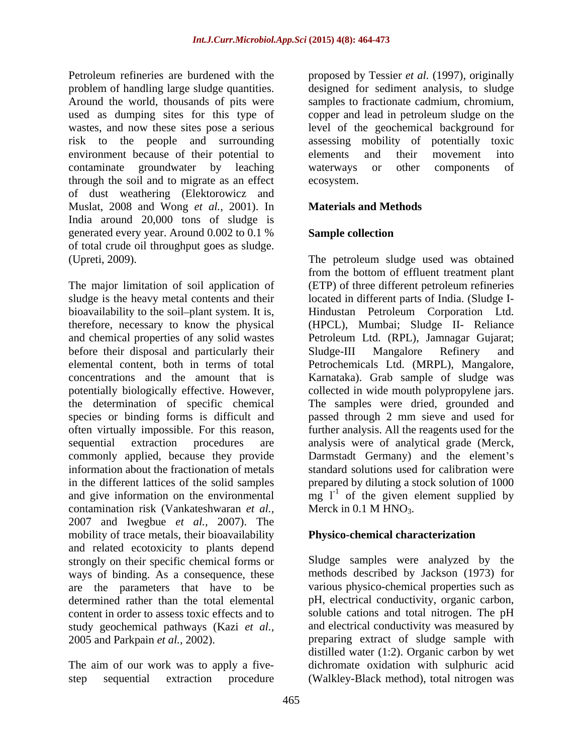problem of handling large sludge quantities. Around the world, thousands of pits were risk to the people and surrounding environment because of their potential to elements and their movement into contaminate groundwater by leaching waterways or other components of through the soil and to migrate as an effect of dust weathering (Elektorowicz and Muslat, 2008 and Wong *et al.,* 2001). In India around 20,000 tons of sludge is generated every year. Around 0.002 to 0.1 % Sample collection of total crude oil throughput goes as sludge.

The major limitation of soil application of (ETP) of three different petroleum refineries sludge is the heavy metal contents and their located in different parts of India. (Sludge I bioavailability to the soil-plant system. It is, Hindustan Petroleum Corporation Ltd. therefore, necessary to know the physical (HPCL), Mumbai; Sludge II- Reliance and chemical properties of any solid wastes Petroleum Ltd. (RPL), Jamnagar Gujarat; before their disposal and particularly their Sludge-III Mangalore Refinery and elemental content, both in terms of total Petrochemicals Ltd. (MRPL), Mangalore, concentrations and the amount that is Karnataka). Grab sample of sludge was potentially biologically effective. However, collected in wide mouth polypropylene jars. the determination of specific chemical species or binding forms is difficult and passed through 2 mm sieve and used for often virtually impossible. For this reason, further analysis. All the reagents used for the sequential extraction procedures are analysis were of analytical grade (Merck, commonly applied, because they provide Darmstadt Germany) and the element's information about the fractionation of metals in the different lattices of the solid samples and give information on the environmental  $mg I^{-1}$  of the given element supplied by contamination risk (Vankateshwaran *et al.,* 2007 and Iwegbue *et al.,* 2007). The mobility of trace metals, their bioavailability and related ecotoxicity to plants depend strongly on their specific chemical forms or Sludge samples were analyzed by the ways of binding. As a consequence, these are the parameters that have to be various physico-chemical properties such as determined rather than the total elemental pH, electrical conductivity, organic carbon, content in order to assess toxic effects and to soluble cations and total nitrogen. The pH study geochemical pathways (Kazi *et al.,* 2005 and Parkpain *et al.,* 2002). preparing extract of sludge sample with

step sequential extraction procedure (Walkley-Black method), total nitrogen was

Petroleum refineries are burdened with the proposed by Tessier *et al.* (1997), originally used as dumping sites for this type of copper and lead in petroleum sludge on the wastes, and now these sites pose a serious level of the geochemical background for designed for sediment analysis, to sludge samples to fractionate cadmium, chromium, assessing mobility of potentially toxic elements and their movement into waterways or other components of ecosystem.

# **Materials and Methods**

# **Sample collection**

(Upreti, 2009). The petroleum sludge used was obtained from the bottom of effluent treatment plant Sludge-III Mangalore Refinery and The samples were dried, grounded and standard solutions used for calibration were prepared by diluting a stock solution of 1000 Merck in  $0.1$  M HNO<sub>3</sub>.

## **Physico-chemical characterization**

The aim of our work was to apply a five- dichromate oxidation with sulphuric acid methods described by Jackson (1973) for and electrical conductivity was measured by distilled water (1:2). Organic carbon by wet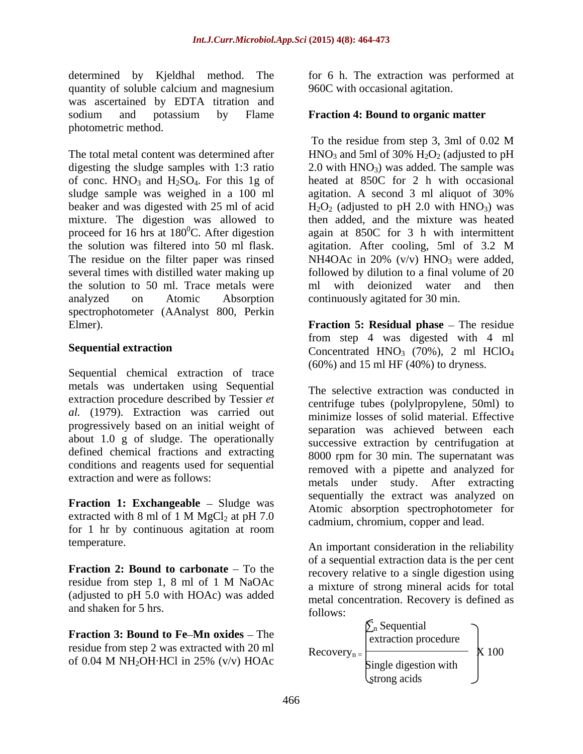determined by Kjeldhal method. The for 6 h. The extraction was performed at quantity of soluble calcium and magnesium was ascertained by EDTA titration and sodium and potassium by Flame **Fraction 4: Bound to organic matter** photometric method.

sludge sample was weighed in a 100 ml agitation. A second 3 ml aliquot of 30% the solution was filtered into 50 ml flask. agitation. After cooling, 5ml of 3.2 M the solution to 50 ml. Trace metals were analyzed on Atomic Absorption continuously agitated for 30 min. spectrophotometer (AAnalyst 800, Perkin Elmer). **Fraction 5: Residual phase** – The residue

Sequential chemical extraction of trace metals was undertaken using Sequential extraction procedure described by Tessier *et al.* (1979). Extraction was carried out progressively based on an initial weight of about 1.0 g of sludge. The operationally defined chemical fractions and extracting conditions and reagents used for sequential

**Fraction 1: Exchangeable** – Sludge was for 1 hr by continuous agitation at room

**Fraction 2: Bound to carbonate** – To the (adjusted to pH 5.0 with HOAc) was added and shaken for 5 hrs.

**Fraction 3: Bound to Fe-Mn oxides – The** residue from step 2 was extracted with 20 ml<br>Recovery<sub>n</sub> Recovery  $\frac{1}{2}$  X 100

960C with occasional agitation.

The total metal content was determined after  $HNO<sub>3</sub>$  and 5ml of 30%  $H<sub>2</sub>O<sub>2</sub>$  (adjusted to pH digesting the sludge samples with  $1:3$  ratio  $2.0$  with  $HNO<sub>3</sub>$ ) was added. The sample was of conc.  $HNO<sub>3</sub>$  and  $H<sub>2</sub>SO<sub>4</sub>$ . For this 1g of heated at 850C for 2 h with occasional beaker and was digested with 25 ml of acid  $H_2O_2$  (adjusted to pH 2.0 with HNO<sub>3</sub>) was mixture. The digestion was allowed to then added, and the mixture was heated proceed for 16 hrs at 180<sup>0</sup>C. After digestion again at 850C for 3 h with intermittent The residue on the filter paper was rinsed  $NH4OAc$  in 20% (v/v)  $HNO<sub>3</sub>$  were added, several times with distilled water making up followed by dilution to a final volume of 20 To the residue from step 3, 3ml of 0.02 M agitation. A second 3 ml aliquot of 30% agitation. After cooling, 5ml of 3.2 M with deionized water and then

**Sequential extraction** Concentrated HNO<sub>3</sub> (70%), 2 ml HClO<sub>4</sub> from step 4 was digested with 4 ml  $(60\%)$  and 15 ml HF  $(40\%)$  to dryness.

extraction and were as follows:<br>
metals under study. After extracting extracted with 8 ml of 1 M MgCl<sub>2</sub> at pH 7.0 cadmium chromium conner and lead The selective extraction was conducted in centrifuge tubes (polylpropylene, 50ml) to minimize losses of solid material. Effective separation was achieved between each successive extraction by centrifugation at 8000 rpm for 30 min. The supernatant was removed with a pipette and analyzed for sequentially the extract was analyzed on Atomic absorption spectrophotometer for cadmium, chromium, copper and lead.

temperature. An important consideration in the reliability residue from step 1, 8 ml of 1 M NaOAc a mixture of strong mineral acids for total of a sequential extraction data is the per cent recovery relative to a single digestion using a mixture of strong mineral acids for total metal concentration. Recovery is defined as follows:

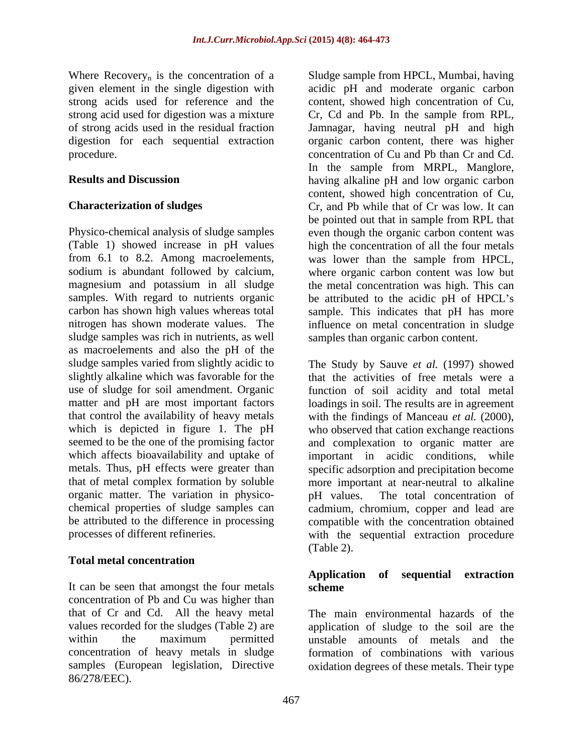Physico-chemical analysis of sludge samples even though the organic carbon content was (Table 1) showed increase in pH values high the concentration of all the four metals from 6.1 to 8.2. Among macroelements, was lower than the sample from HPCL, sodium is abundant followed by calcium, where organic carbon content was low but magnesium and potassium in all sludge the metal concentration was high. This can samples. With regard to nutrients organic be attributed to the acidic pH of HPCL's carbon has shown high values whereas total sample. This indicates that pH has more nitrogen has shown moderate values. The influence on metal concentration in sludge sludge samples was rich in nutrients, as well samples than organic carbon content. as macroelements and also the pH of the slightly alkaline which was favorable for the organic matter. The variation in physico-<br>pH values. The total concentration of

## **Total metal concentration**

It can be seen that amongst the four metals scheme concentration of Pb and Cu was higher than that of Cr and Cd. All the heavy metal values recorded for the sludges (Table 2) are application of sludge to the soil are the within the maximum permitted unstable amounts of metals and the concentration of heavy metals in sludge formation of combinations with various samples (European legislation, Directive oxidation degrees of these metals. Their type 86/278/EEC).

Where Recovery<sub>n</sub> is the concentration of a Sludge sample from HPCL, Mumbai, having given element in the single digestion with acidic pH and moderate organic carbon strong acids used for reference and the content, showed high concentration of Cu, strong acid used for digestion was a mixture Cr, Cd and Pb. In the sample from RPL, of strong acids used in the residual fraction Jamnagar, having neutral pH and high digestion for each sequential extraction organic carbon content, there was higher procedure. concentration of Cu and Pb than Cr and Cd. **Results and Discussion** having alkaline pH and low organic carbon **Characterization of sludges** Cr, and Pb while that of Cr was low. It can In the sample from MRPL, Manglore, content, showed high concentration of Cu, be pointed out that in sample from RPL that

sludge samples varied from slightly acidic to The Study by Sauve *et al.* (1997) showed use of sludge for soil amendment. Organic function of soil acidity and total metal matter and pH are most important factors loadings in soil. The results are in agreement that control the availability of heavy metals with the findings of Manceau *et al.* (2000), which is depicted in figure 1. The pH who observed that cation exchange reactions seemed to be the one of the promising factor and complexation to organic matter are which affects bioavailability and uptake of important in acidic conditions, while metals. Thus, pH effects were greater than specific adsorption and precipitation become that of metal complex formation by soluble more important at near-neutral to alkaline chemical properties of sludge samples can cadmium, chromium, copper and lead are be attributed to the difference in processing compatible with the concentration obtained processes of different refineries. with the sequential extraction procedure that the activities of free metals were a pH values. The total concentration of (Table 2).

## **Application of sequential extraction scheme**

The main environmental hazards of the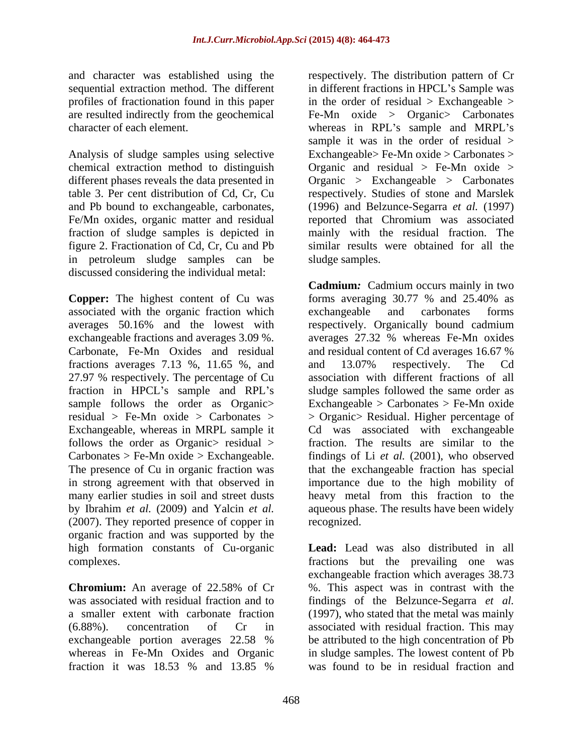and character was established using the respectively. The distribution pattern of Cr profiles of fractionation found in this paper

Analysis of sludge samples using selective chemical extraction method to distinguish Fe/Mn oxides, organic matter and residual figure 2. Fractionation of Cd, Cr, Cu and Pb in petroleum sludge samples can be discussed considering the individual metal:

associated with the organic fraction which fractions averages 7.13 %, 11.65 %, and and 13.07% respectively. The Cd 27.97 % respectively. The percentage of Cu fraction in HPCL's sample and RPL's follows the order as Organic > residual > (2007). They reported presence of copper in organic fraction and was supported by the high formation constants of Cu-organic

whereas in Fe-Mn Oxides and Organic

sequential extraction method. The different in different fractions in HPCL's Sample was are resulted indirectly from the geochemical Fe-Mn oxide > Organic> Carbonates character of each element. Whereas in RPL's sample and MRPL's different phases reveals the data presented in Organic > Exchangeable > Carbonates table 3. Per cent distribution of Cd, Cr, Cu respectively. Studies of stone and Marslek and Pb bound to exchangeable, carbonates, (1996) and Belzunce-Segarra *et al.* (1997) fraction of sludge samples is depicted in mainly with the residual fraction. The in the order of residual  $>$  Exchangeable  $>$ sample it was in the order of residual  $>$ Exchangeable> Fe-Mn oxide > Carbonates > Organic and residual  $>$  Fe-Mn oxide  $>$ reported that Chromium was associated similar results were obtained for all the sludge samples.

**Copper:** The highest content of Cu was forms averaging 30.77 % and 25.40% as averages 50.16% and the lowest with respectively. Organically bound cadmium exchangeable fractions and averages 3.09 %. averages 27.32 % whereas Fe-Mn oxides Carbonate, Fe-Mn Oxides and residual and residual content of Cd averages 16.67 % sample follows the order as Organic> Exchangeable > Carbonates > Fe-Mn oxide residual > Fe-Mn oxide > Carbonates > > Organic> Residual. Higher percentage of Exchangeable, whereas in MRPL sample it Cd was associated with exchangeable Carbonates > Fe-Mn oxide > Exchangeable. findings of Li *et al.* (2001), who observed The presence of Cu in organic fraction was that the exchangeable fraction has special in strong agreement with that observed in importance due to the high mobility of many earlier studies in soil and street dusts heavy metal from this fraction to the by Ibrahim *et al.* (2009) and Yalcin *et al.* aqueous phase. The results have been widely **Cadmium***:* Cadmium occurs mainly in two exchangeable and carbonates forms and 13.07% respectively. The Cd association with different fractions of all sludge samples followed the same order as fraction. The results are similar to the recognized.

complexes. fractions but the prevailing one was **Chromium:** An average of 22.58% of Cr was associated with residual fraction and to findings of the Belzunce-Segarra *et al.* a smaller extent with carbonate fraction (1997), who stated that the metal was mainly (6.88%). concentration of Cr in associated with residual fraction. This may exchangeable portion averages 22.58 % be attributed to the high concentration of Pb fraction it was 18.53 % and 13.85 % **Lead:** Lead was also distributed in all exchangeable fraction which averages 38.73 %. This aspect was in contrast with the be attributed to the high concentration of Pb in sludge samples. The lowest content of Pb was found to be in residual fraction and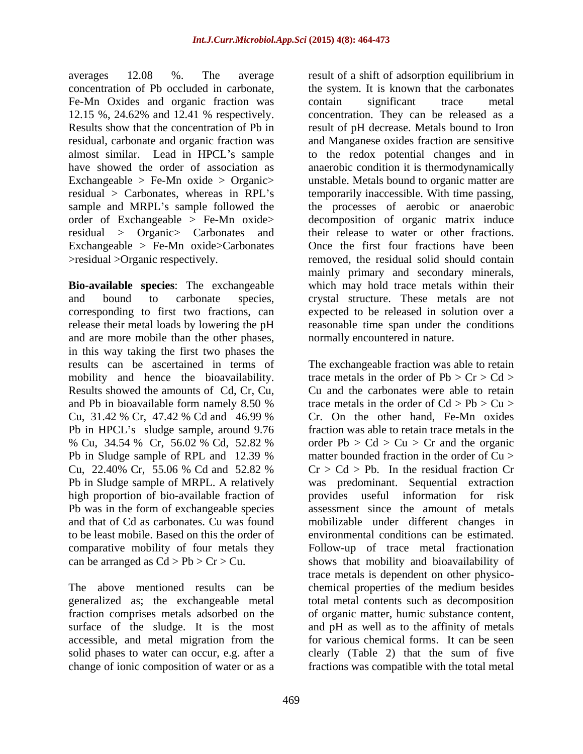averages 12.08 %. The average result of a shift of adsorption equilibrium in Fe-Mn Oxides and organic fraction was contain significant trace metal almost similar. Lead in HPCL's sample Exchangeable  $>$  Fe-Mn oxide  $>$  Organic $>$ residual > Organic > Carbonates and their release to water or other fractions. Exchangeable  $>$  Fe-Mn oxide $>$ Carbonates Cnce the first four fractions have been

and are more mobile than the other phases, in this way taking the first two phases the mobility and hence the bioavailability. Results showed the amounts of Cd, Cr, Cu, Pb in HPCL's sludge sample, around 9.76 high proportion of bio-available fraction of provides useful information for risk comparative mobility of four metals they

generalized as; the exchangeable metal

concentration of Pb occluded in carbonate, the system. It is known that the carbonates 12.15 %, 24.62% and 12.41 % respectively. concentration. They can be released as a Results show that the concentration of Pb in result of pH decrease. Metals bound to Iron residual, carbonate and organic fraction was and Manganese oxides fraction are sensitive have showed the order of association as anaerobic condition it is thermodynamically residual > Carbonates, whereas in RPL's temporarily inaccessible. With time passing, sample and MRPL's sample followed the the processes of aerobic or anaerobic order of Exchangeable > Fe-Mn oxide> decomposition of organic matrix induce >residual >Organic respectively. removed, the residual solid should contain **Bio-available species**: The exchangeable which may hold trace metals within their and bound to carbonate species, crystal structure. These metals are not corresponding to first two fractions, can expected to be released in solution over a release their metal loads by lowering the pH reasonable time span under the conditions contain significant trace metal to the redox potential changes and in unstable. Metals bound to organic matter are their release to water or other fractions.<br>Once the first four fractions have been mainly primary and secondary minerals, normally encountered in nature.

results can be ascertained in terms of The exchangeable fraction was able to retain and Pb in bioavailable form namely 8.50 % trace metals in the order of  $Cd > Pb > Cu >$ Cu,  $31.42\%$  Cr,  $47.42\%$  Cd and  $46.99\%$  Cr. On the other hand, Fe-Mn oxides % Cu, 34.54 % Cr, 56.02 % Cd, 52.82 % order Pb > Cd > Cu > Cr and the organic Pb in Sludge sample of RPL and 12.39 % matter bounded fraction in the order of Cu > Cu, 22.40% Cr, 55.06 % Cd and 52.82 % Cr > Cd > Pb. In the residual fraction Cr Pb in Sludge sample of MRPL. A relatively was predominant. Sequential extraction Pb was in the form of exchangeable species assessment since the amount of metals and that of Cd as carbonates. Cu was found mobilizable under different changes in to be least mobile. Based on this the order of environmental conditions can be estimated. can be arranged as  $Cd > Pb > Cr > Cu$ . shows that mobility and bioavailability of The above mentioned results can be chemical properties of the medium besides fraction comprises metals adsorbed on the of organic matter, humic substance content, surface of the sludge. It is the most and pH as well as to the affinity of metals accessible, and metal migration from the for various chemical forms. It can be seen solid phases to water can occur, e.g. after a clearly (Table 2) that the sum of five change of ionic composition of water or as a fractions was compatible with the total metal trace metals in the order of  $Pb > Cr > Cd >$ Cu and the carbonates were able to retain trace metals in the order of  $Cd > Pb > Cu >$ Cr. On the other hand, Fe-Mn oxides fraction was able to retain trace metals in the order  $Pb > Cd > Cu > Cr$  and the organic matter bounded fraction in the order of Cu >  $Cr > Cd > Pb$ . In the residual fraction Cr provides useful information for risk Follow-up of trace metal fractionation trace metals is dependent on other physico total metal contents such as decomposition for various chemical forms. It can be seen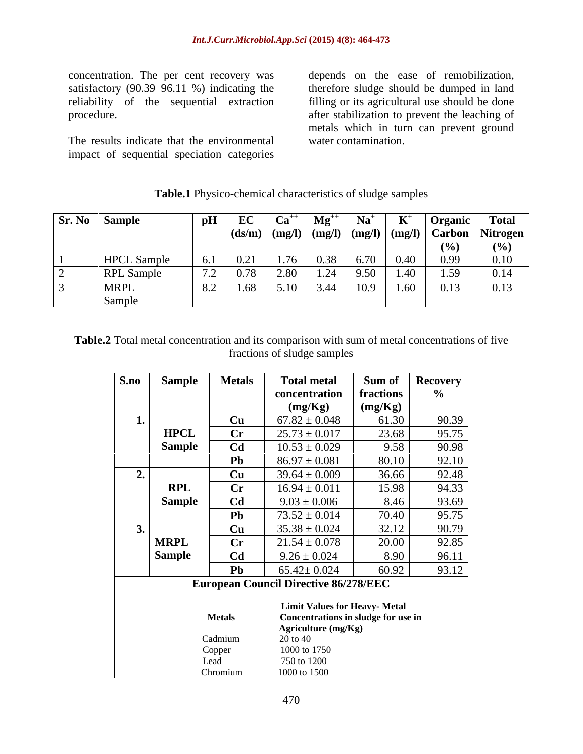concentration. The per cent recovery was depends on the ease of remobilization, satisfactory (90.39–96.11 %) indicating the therefore sludge should be dumped in land reliability of the sequential extraction filling or its agricultural use should be done

The results indicate that the environmental impact of sequential speciation categories

procedure. after stabilization to prevent the leaching of metals which in turn can prevent ground water contamination.

| $\begin{array}{ c c c }\n\hline\n\textbf{Sr. No}} & \textbf{Sample}\n\end{array}$ | $\mathbf{p}$ H                                | $\mathbf{E}$ $\mathbf{C}$<br>- LU | $\mathbf{u}$ | $Mg^{++}$            | $N_{\alpha}$ <sup>+</sup>                                   |                       | Organic                                                | <b>Total</b> |
|-----------------------------------------------------------------------------------|-----------------------------------------------|-----------------------------------|--------------|----------------------|-------------------------------------------------------------|-----------------------|--------------------------------------------------------|--------------|
|                                                                                   |                                               |                                   |              |                      | $\vert$ (ds/m) $\vert$ (mg/l) $\vert$ (mg/l) $\vert$ (mg/l) |                       | $\vert$ (mg/l) $\vert$ Carbon $\vert$ Nitrogen $\vert$ |              |
|                                                                                   |                                               |                                   |              |                      |                                                             |                       | (0)                                                    | 70 Z         |
| <b>HPCL</b> Sample                                                                | $\sim$ $\sim$                                 | $\bigcap$ 0.1                     |              |                      | $\sim$ $\sim$ $\sim$                                        | $\Omega$ $AD$         | 0.99                                                   | 0.10         |
| <b>RPL</b> Sample                                                                 | $\sqrt{2}$<br>$\overline{1}$ . $\overline{2}$ | $\bigcap$ $\bigcap$               | $\Omega$     | $\sim$ $\sim$ $\sim$ | 9.50                                                        | $\sqrt{4}$            | 150                                                    | 0.14         |
| <b>MRPL</b>                                                                       |                                               | l.68                              | $\ddotsc$    |                      | 10.9                                                        | $\sim$ $\sim$<br>1.00 | 0.13                                                   | 0.13         |
| Sample                                                                            |                                               |                                   |              |                      |                                                             |                       |                                                        |              |

### **Table.1** Physico-chemical characteristics of sludge samples

**Table.2** Total metal concentration and its comparison with sum of metal concentrations of five fractions of sludge samples

| S.no                     | Sample   Metals |                        | <b>Total metal</b>                                                          | Sum of Recovery |       |
|--------------------------|-----------------|------------------------|-----------------------------------------------------------------------------|-----------------|-------|
|                          |                 |                        | concentration                                                               | fractions       |       |
|                          |                 |                        | (mg/Kg)                                                                     | (mg/Kg)         |       |
|                          |                 | <b>Cu</b>              | $67.82 \pm 0.048$                                                           | 61.30           | 90.39 |
|                          | <b>HPCL</b>     | $\mathbf{C}\mathbf{r}$ | $25.73 \pm 0.017$                                                           | 23.68           | 95.75 |
|                          | <b>Sample</b>   | C <b>d</b>             | $10.53 \pm 0.029$                                                           | 9.58            | 90.98 |
|                          |                 | Pb                     | $86.97 \pm 0.081$                                                           | 80.10           | 92.10 |
| $\sim$                   |                 | $\mathbf{C}\mathbf{u}$ | $39.64 \pm 0.009$                                                           | 36.66           | 92.48 |
|                          | <b>RPL</b>      | $\mathbf{C}\mathbf{r}$ | $16.94 \pm 0.011$                                                           | 15.98           | 94.33 |
|                          | Sample          | C <b>d</b>             | $9.03 \pm 0.006$                                                            | 8.46            | 93.69 |
|                          |                 | Pb -                   | $73.52 \pm 0.014$                                                           | 70.40           | 95.75 |
| $\overline{\phantom{a}}$ |                 | Cu                     | $35.38 \pm 0.024$                                                           | 32.12           | 90.79 |
|                          | <b>MRPL</b>     | Cr                     | $21.54 \pm 0.078$                                                           | 20.00           | 92.85 |
|                          | <b>Sample</b>   | Cd                     | $9.26 \pm 0.024$                                                            | 8.90            | 96.11 |
|                          |                 | $\mathbf{Pb}$          | $65.42 \pm 0.024$                                                           | 60.92           | 93.12 |
|                          |                 |                        | <b>European Council Directive 86/278/EEC</b>                                |                 |       |
|                          |                 |                        |                                                                             |                 |       |
|                          |                 | <b>Metals</b>          | <b>Limit Values for Heavy- Metal</b><br>Concentrations in sludge for use in |                 |       |
|                          |                 |                        | Agriculture (mg/Kg)                                                         |                 |       |
|                          |                 | Cadmium                | 20 to 40                                                                    |                 |       |
|                          |                 | Copper                 | 1000 to 1750                                                                |                 |       |
|                          |                 | Lead                   | 750 to 1200                                                                 |                 |       |
|                          |                 | Chromium               | 1000 to 1500                                                                |                 |       |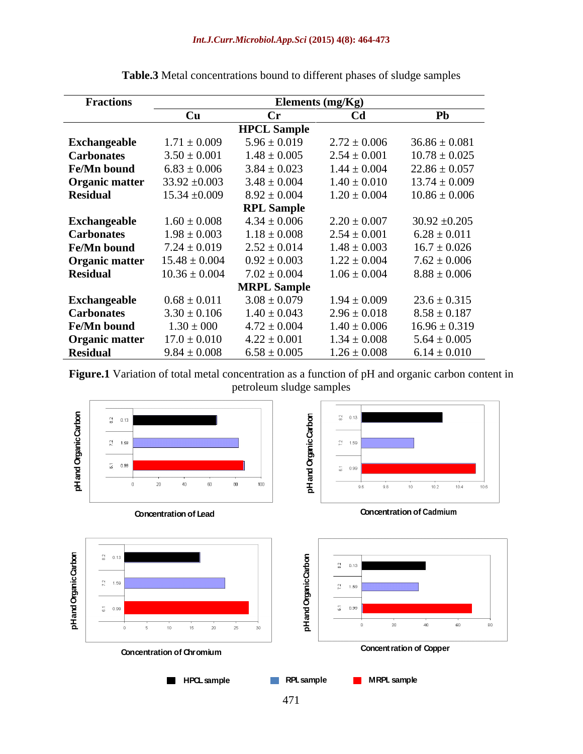| <b>Fractions</b>      | Elements $(mg/Kg)$ |                    |                  |                   |  |
|-----------------------|--------------------|--------------------|------------------|-------------------|--|
|                       | Cu                 | $\mathbf{C}$ r     | C <sub>d</sub>   | Pb                |  |
|                       |                    | <b>HPCL Sample</b> |                  |                   |  |
| Exchangeable          | $1.71 \pm 0.009$   | $5.96 \pm 0.019$   | $2.72 \pm 0.006$ | $36.86 \pm 0.081$ |  |
| <b>Carbonates</b>     | $3.50 \pm 0.001$   | $1.48 \pm 0.005$   | $2.54 \pm 0.001$ | $10.78 \pm 0.025$ |  |
| Fe/Mn bound           | $6.83 \pm 0.006$   | $3.84 \pm 0.023$   | $1.44 \pm 0.004$ | $22.86 \pm 0.057$ |  |
| <b>Organic matter</b> | $33.92 \pm 0.003$  | $3.48 \pm 0.004$   | $1.40 \pm 0.010$ | $13.74 \pm 0.009$ |  |
| <b>Residual</b>       | $15.34 \pm 0.009$  | $8.92 \pm 0.004$   | $1.20 \pm 0.004$ | $10.86 \pm 0.006$ |  |
|                       |                    | <b>RPL Sample</b>  |                  |                   |  |
| Exchangeable          | $1.60 \pm 0.008$   | $4.34 \pm 0.006$   | $2.20 \pm 0.007$ | $30.92 \pm 0.205$ |  |
| <b>Carbonates</b>     | $1.98 \pm 0.003$   | $1.18 \pm 0.008$   | $2.54 \pm 0.001$ | $6.28 \pm 0.011$  |  |
| Fe/Mn bound           | $7.24 \pm 0.019$   | $2.52 \pm 0.014$   | $1.48 \pm 0.003$ | $16.7 \pm 0.026$  |  |
| <b>Organic matter</b> | $15.48 \pm 0.004$  | $0.92 \pm 0.003$   | $1.22 \pm 0.004$ | $7.62 \pm 0.006$  |  |
| <b>Residual</b>       | $10.36 \pm 0.004$  | $7.02 \pm 0.004$   | $1.06 \pm 0.004$ | $8.88 \pm 0.006$  |  |
|                       |                    | <b>MRPL Sample</b> |                  |                   |  |
| Exchangeable          | $0.68 \pm 0.011$   | $3.08 \pm 0.079$   | $1.94 \pm 0.009$ | $23.6 \pm 0.315$  |  |
| <b>Carbonates</b>     | $3.30 \pm 0.106$   | $1.40 \pm 0.043$   | $2.96 \pm 0.018$ | $8.58 \pm 0.187$  |  |
| Fe/Mn bound           | $1.30 \pm 000$     | $4.72 \pm 0.004$   | $1.40 \pm 0.006$ | $16.96 \pm 0.319$ |  |
| <b>Organic matter</b> | $17.0 \pm 0.010$   | $4.22 \pm 0.001$   | $1.34 \pm 0.008$ | $5.64 \pm 0.005$  |  |
| <b>Residual</b>       | $9.84 \pm 0.008$   | $6.58 \pm 0.005$   | $1.26 \pm 0.008$ | $6.14 \pm 0.010$  |  |

**Table.3** Metal concentrations bound to different phases of sludge samples

**Figure.1** Variation of total metal concentration as a function of pH and organic carbon content in petroleum sludge samples

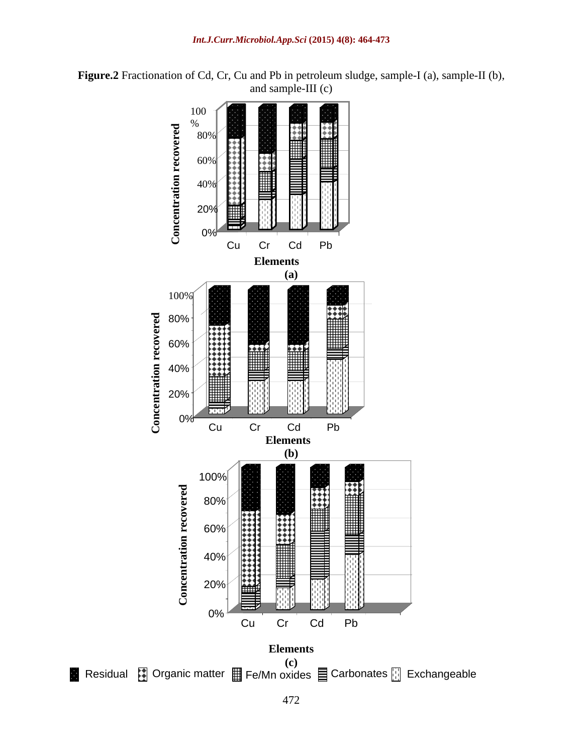